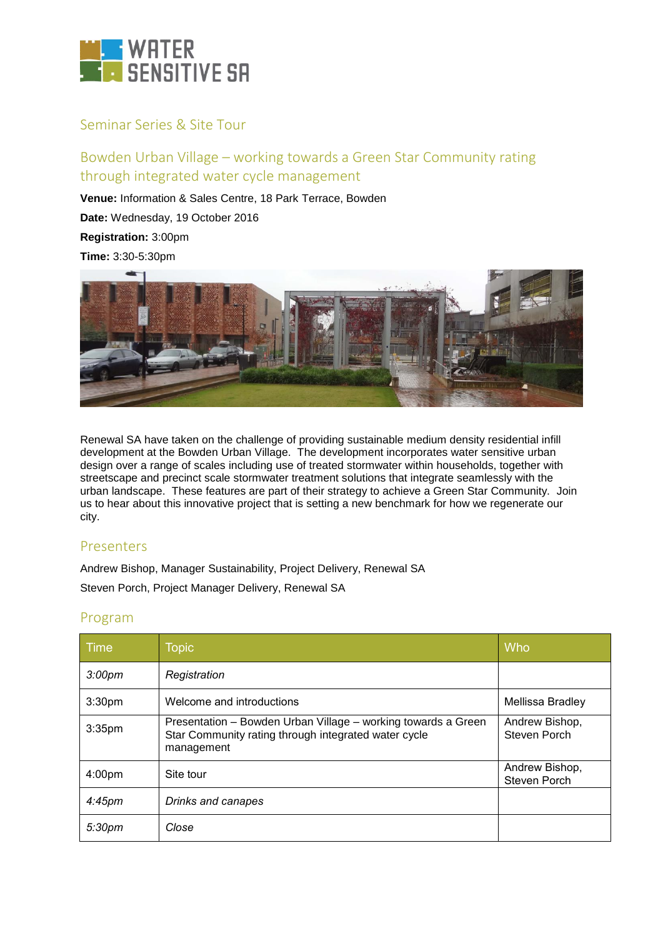

## Seminar Series & Site Tour

# Bowden Urban Village – working towards a Green Star Community rating through integrated water cycle management

**Venue:** Information & Sales Centre, 18 Park Terrace, Bowden

**Date:** Wednesday, 19 October 2016

**Registration:** 3:00pm

**Time:** 3:30-5:30pm



Renewal SA have taken on the challenge of providing sustainable medium density residential infill development at the Bowden Urban Village. The development incorporates water sensitive urban design over a range of scales including use of treated stormwater within households, together with streetscape and precinct scale stormwater treatment solutions that integrate seamlessly with the urban landscape. These features are part of their strategy to achieve a Green Star Community. Join us to hear about this innovative project that is setting a new benchmark for how we regenerate our city.

### Presenters

Andrew Bishop, Manager Sustainability, Project Delivery, Renewal SA

Steven Porch, Project Manager Delivery, Renewal SA

# Program

| Time               | <b>Topic</b>                                                                                                                        | Who                            |
|--------------------|-------------------------------------------------------------------------------------------------------------------------------------|--------------------------------|
| 3:00 <sub>pm</sub> | Registration                                                                                                                        |                                |
| 3:30 <sub>pm</sub> | Welcome and introductions                                                                                                           | Mellissa Bradley               |
| 3:35 <sub>pm</sub> | Presentation - Bowden Urban Village - working towards a Green<br>Star Community rating through integrated water cycle<br>management | Andrew Bishop,<br>Steven Porch |
| 4:00 <sub>pm</sub> | Site tour                                                                                                                           | Andrew Bishop,<br>Steven Porch |
| 4:45 <sub>pm</sub> | Drinks and canapes                                                                                                                  |                                |
| 5:30 <sub>pm</sub> | Close                                                                                                                               |                                |